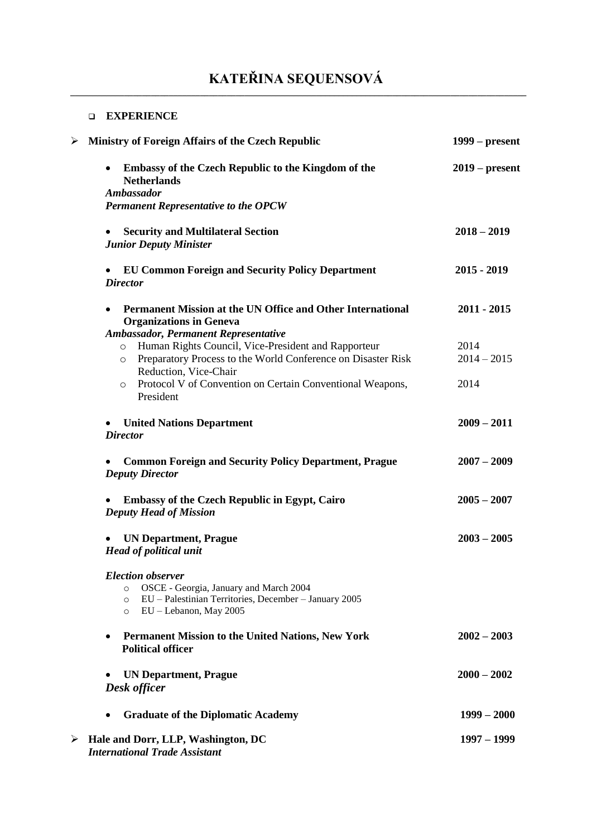## **EXPERIENCE**

| ≻<br><b>Ministry of Foreign Affairs of the Czech Republic</b>                                                 | $1999 - present$ |
|---------------------------------------------------------------------------------------------------------------|------------------|
| Embassy of the Czech Republic to the Kingdom of the<br><b>Netherlands</b>                                     | $2019$ – present |
| <b>Ambassador</b>                                                                                             |                  |
| <b>Permanent Representative to the OPCW</b>                                                                   |                  |
| <b>Security and Multilateral Section</b><br>$\bullet$<br><b>Junior Deputy Minister</b>                        | $2018 - 2019$    |
| <b>EU Common Foreign and Security Policy Department</b><br><b>Director</b>                                    | $2015 - 2019$    |
| Permanent Mission at the UN Office and Other International<br>$\bullet$<br><b>Organizations in Geneva</b>     | $2011 - 2015$    |
| <b>Ambassador, Permanent Representative</b><br>Human Rights Council, Vice-President and Rapporteur<br>$\circ$ | 2014             |
| Preparatory Process to the World Conference on Disaster Risk<br>$\circ$                                       | $2014 - 2015$    |
| Reduction, Vice-Chair                                                                                         |                  |
| Protocol V of Convention on Certain Conventional Weapons,<br>$\circ$<br>President                             | 2014             |
| <b>United Nations Department</b><br>$\bullet$<br><b>Director</b>                                              | $2009 - 2011$    |
| <b>Common Foreign and Security Policy Department, Prague</b><br><b>Deputy Director</b>                        | $2007 - 2009$    |
| <b>Embassy of the Czech Republic in Egypt, Cairo</b><br>$\bullet$<br><b>Deputy Head of Mission</b>            | $2005 - 2007$    |
| <b>UN Department, Prague</b><br><b>Head of political unit</b>                                                 | $2003 - 2005$    |
| <b>Election observer</b>                                                                                      |                  |
| OSCE - Georgia, January and March 2004<br>$\circ$                                                             |                  |
| EU - Palestinian Territories, December - January 2005<br>$\circ$                                              |                  |
| EU - Lebanon, May 2005<br>$\circ$                                                                             |                  |
| <b>Permanent Mission to the United Nations, New York</b><br><b>Political officer</b>                          | $2002 - 2003$    |
|                                                                                                               |                  |
| <b>UN Department, Prague</b>                                                                                  | $2000 - 2002$    |
| Desk officer                                                                                                  |                  |
| <b>Graduate of the Diplomatic Academy</b><br>$\bullet$                                                        | $1999 - 2000$    |
| Hale and Dorr, LLP, Washington, DC<br>➤<br><b>International Trade Assistant</b>                               | 1997 – 1999      |